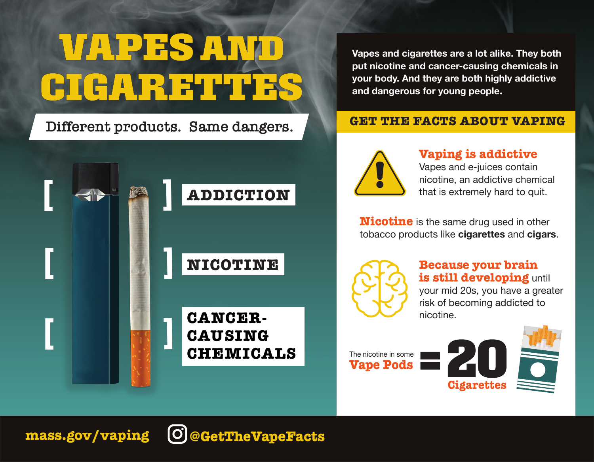# **VAPES ANI** CIGARETTES

**Different products. Same dangers.**



**Vapes and cigarettes are a lot alike. They both put nicotine and cancer-causing chemicals in your body. And they are both highly addictive and dangerous for young people.**

### **GET THE FACTS ABOUT VAPING**



### **Vaping is addictive**

Vapes and e-juices contain nicotine, an addictive chemical that is extremely hard to quit.

**Nicotine** is the same drug used in other tobacco products like **cigarettes** and **cigars**.



### **Because your brain is still developing** until your mid 20s, you have a greater risk of becoming addicted to nicotine.

**Vape Pods** The nicotine in some





**mass.gov/vaping @GetTheVapeFacts**